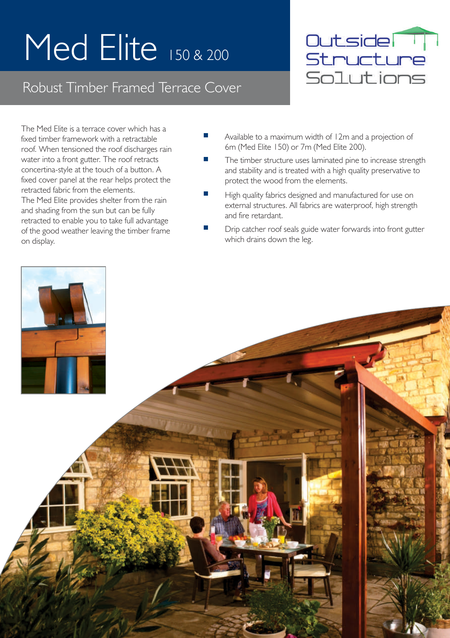## Med Elite 150 & 200

## Robust Timber Framed Terrace Cover



The Med Elite is a terrace cover which has a fixed timber framework with a retractable roof. When tensioned the roof discharges rain water into a front gutter. The roof retracts concertina-style at the touch of a button. A fixed cover panel at the rear helps protect the retracted fabric from the elements. The Med Elite provides shelter from the rain and shading from the sun but can be fully retracted to enable you to take full advantage of the good weather leaving the timber frame on display.

- П Available to a maximum width of 12m and a projection of 6m (Med Elite 150) or 7m (Med Elite 200).
- The timber structure uses laminated pine to increase strength and stability and is treated with a high quality preservative to protect the wood from the elements.
- High quality fabrics designed and manufactured for use on external structures. All fabrics are waterproof, high strength and fire retardant.
- Drip catcher roof seals guide water forwards into front gutter which drains down the leg.